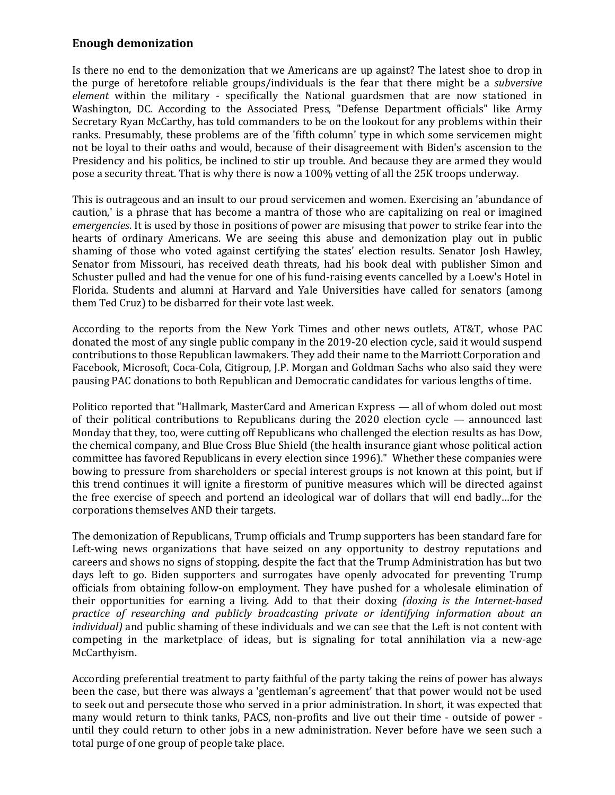## **Enough demonization**

Is there no end to the demonization that we Americans are up against? The latest shoe to drop in the purge of heretofore reliable groups/individuals is the fear that there might be a *subversive element* within the military - specifically the National guardsmen that are now stationed in Washington, DC. According to the Associated Press, "Defense Department officials" like Army Secretary Ryan McCarthy, has told commanders to be on the lookout for any problems within their ranks. Presumably, these problems are of the 'fifth column' type in which some servicemen might not be loyal to their oaths and would, because of their disagreement with Biden's ascension to the Presidency and his politics, be inclined to stir up trouble. And because they are armed they would pose a security threat. That is why there is now a 100% vetting of all the 25K troops underway.

This is outrageous and an insult to our proud servicemen and women. Exercising an 'abundance of caution,' is a phrase that has become a mantra of those who are capitalizing on real or imagined *emergencies*. It is used by those in positions of power are misusing that power to strike fear into the hearts of ordinary Americans. We are seeing this abuse and demonization play out in public shaming of those who voted against certifying the states' election results. Senator Josh Hawley, Senator from Missouri, has received death threats, had his book deal with publisher Simon and Schuster pulled and had the venue for one of his fund-raising events cancelled by a Loew's Hotel in Florida. Students and alumni at Harvard and Yale Universities have called for senators (among them Ted Cruz) to be disbarred for their vote last week.

According to the reports from the New York Times and other news outlets, AT&T, whose PAC donated the most of any single public company in the 2019-20 election cycle, said it would suspend contributions to those Republican lawmakers. They add their name to the Marriott Corporation and Facebook, Microsoft, Coca-Cola, Citigroup, J.P. Morgan and Goldman Sachs who also said they were pausing PAC donations to both Republican and Democratic candidates for various lengths of time.

Politico reported that "Hallmark, MasterCard and American Express — all of whom doled out most of their political contributions to Republicans during the 2020 election cycle — announced last Monday that they, too, were cutting off Republicans who challenged the election results as has Dow, the chemical company, and Blue Cross Blue Shield (the health insurance giant whose political action committee has favored Republicans in every election since 1996)." Whether these companies were bowing to pressure from shareholders or special interest groups is not known at this point, but if this trend continues it will ignite a firestorm of punitive measures which will be directed against the free exercise of speech and portend an ideological war of dollars that will end badly…for the corporations themselves AND their targets.

The demonization of Republicans, Trump officials and Trump supporters has been standard fare for Left-wing news organizations that have seized on any opportunity to destroy reputations and careers and shows no signs of stopping, despite the fact that the Trump Administration has but two days left to go. Biden supporters and surrogates have openly advocated for preventing Trump officials from obtaining follow-on employment. They have pushed for a wholesale elimination of their opportunities for earning a living. Add to that their doxing *(doxing is the Internet-based practice of researching and publicly broadcasting private or identifying information about an individual)* and public shaming of these individuals and we can see that the Left is not content with competing in the marketplace of ideas, but is signaling for total annihilation via a new-age McCarthyism.

According preferential treatment to party faithful of the party taking the reins of power has always been the case, but there was always a 'gentleman's agreement' that that power would not be used to seek out and persecute those who served in a prior administration. In short, it was expected that many would return to think tanks, PACS, non-profits and live out their time - outside of power until they could return to other jobs in a new administration. Never before have we seen such a total purge of one group of people take place.